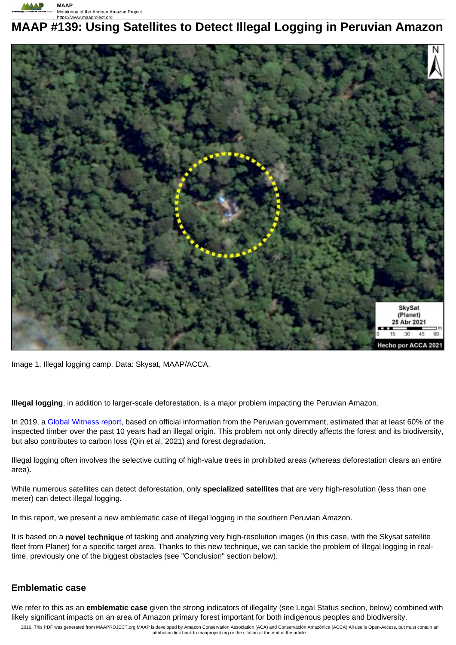

# **MAAP #139: Using Satellites to Detect Illegal Logging in Peruvian Amazon**



Image 1. Illegal logging camp. Data: Skysat, MAAP/ACCA.

**Illegal logging**, in addition to larger-scale deforestation, is a major problem impacting the Peruvian Amazon.

In 2019, a Global Witness report, based on official information from the Peruvian government, estimated that at least 60% of the inspected timber over the past 10 years had an illegal origin. This problem not only directly affects the forest and its biodiversity, but also contributes to carbon loss (Qin et al, 2021) and forest degradation.

Illegal logging often involves the selective cutting of high-value trees in prohibited areas (whereas deforestation clears an entire area).

While numerous satellites can detect deforestation, only **specialized satellites** that are very high-resolution (less than one meter) can detect illegal logging.

In this report, we present a new emblematic case of illegal logging in the southern Peruvian Amazon.

It is based on a **novel technique** of tasking and analyzing very high-resolution images (in this case, with the Skysat satellite fleet from Planet) for a specific target area. Thanks to this new technique, we can tackle the problem of illegal logging in realtime, previously one of the biggest obstacles (see "Conclusion" section below).

### **Emblematic case**

We refer to this as an **emblematic case** given the strong indicators of illegality (see Legal Status section, below) combined with likely significant impacts on an area of Amazon primary forest important for both indigenous peoples and biodiversity.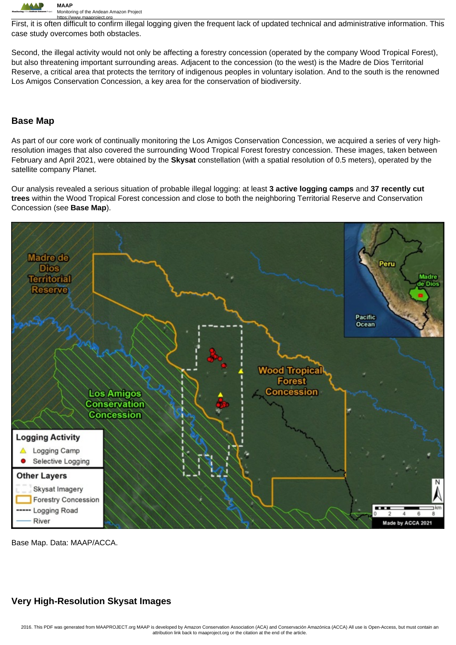

https://www.maaproject.org<br>First, it is often difficult to confirm illegal logging given the frequent lack of updated technical and administrative information. This case study overcomes both obstacles.

Second, the illegal activity would not only be affecting a forestry concession (operated by the company Wood Tropical Forest), but also threatening important surrounding areas. Adjacent to the concession (to the west) is the Madre de Dios Territorial Reserve, a critical area that protects the territory of indigenous peoples in voluntary isolation. And to the south is the renowned Los Amigos Conservation Concession, a key area for the conservation of biodiversity.

## **Base Map**

As part of our core work of continually monitoring the Los Amigos Conservation Concession, we acquired a series of very highresolution images that also covered the surrounding Wood Tropical Forest forestry concession. These images, taken between February and April 2021, were obtained by the **Skysat** constellation (with a spatial resolution of 0.5 meters), operated by the satellite company Planet.

Our analysis revealed a serious situation of probable illegal logging: at least **3 active logging camps** and **37 recently cut trees** within the Wood Tropical Forest concession and close to both the neighboring Territorial Reserve and Conservation Concession (see **Base Map**).



Base Map. Data: MAAP/ACCA.

## **Very High-Resolution Skysat Images**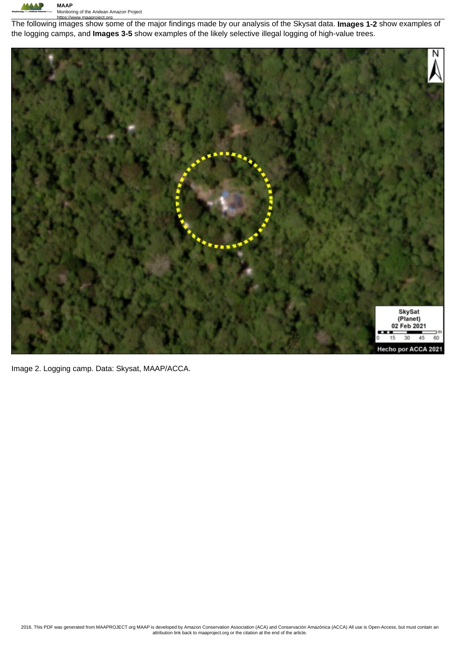

https://www.maaproject.org The following images show some of the major findings made by our analysis of the Skysat data. **Images 1-2** show examples of the logging camps, and **Images 3-5** show examples of the likely selective illegal logging of high-value trees.



Image 2. Logging camp. Data: Skysat, MAAP/ACCA.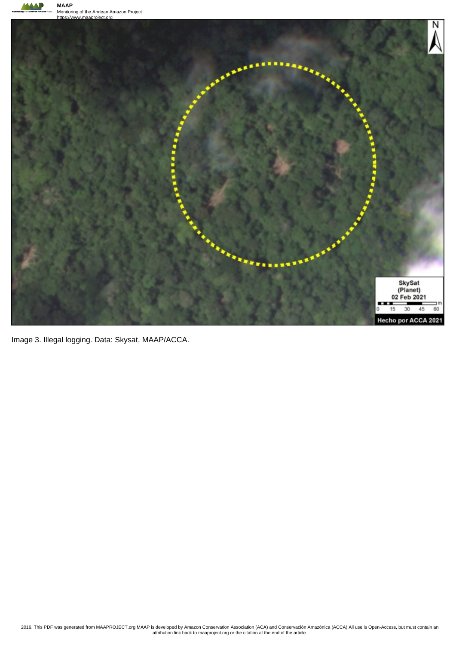**AAAP** 



Image 3. Illegal logging. Data: Skysat, MAAP/ACCA.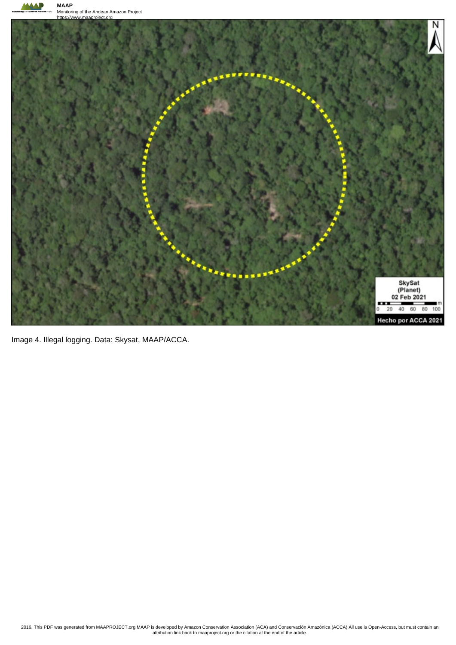



Image 4. Illegal logging. Data: Skysat, MAAP/ACCA.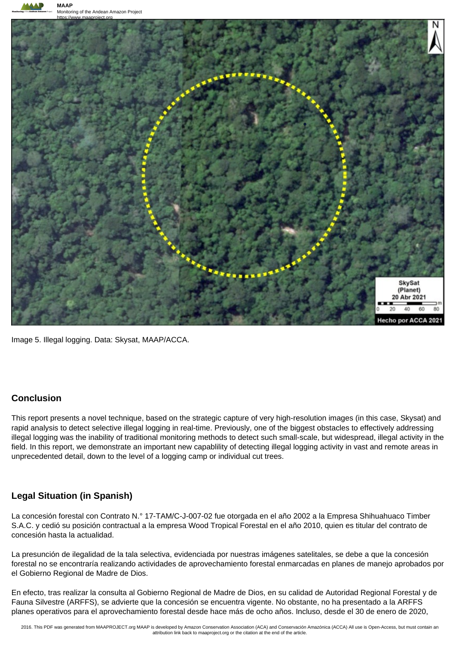

Image 5. Illegal logging. Data: Skysat, MAAP/ACCA.

## **Conclusion**

This report presents a novel technique, based on the strategic capture of very high-resolution images (in this case, Skysat) and rapid analysis to detect selective illegal logging in real-time. Previously, one of the biggest obstacles to effectively addressing illegal logging was the inability of traditional monitoring methods to detect such small-scale, but widespread, illegal activity in the field. In this report, we demonstrate an important new capablility of detecting illegal logging activity in vast and remote areas in unprecedented detail, down to the level of a logging camp or individual cut trees.

## **Legal Situation (in Spanish)**

La concesión forestal con Contrato N.° 17-TAM/C-J-007-02 fue otorgada en el año 2002 a la Empresa Shihuahuaco Timber S.A.C. y cedió su posición contractual a la empresa Wood Tropical Forestal en el año 2010, quien es titular del contrato de concesión hasta la actualidad.

La presunción de ilegalidad de la tala selectiva, evidenciada por nuestras imágenes satelitales, se debe a que la concesión forestal no se encontraría realizando actividades de aprovechamiento forestal enmarcadas en planes de manejo aprobados por el Gobierno Regional de Madre de Dios.

En efecto, tras realizar la consulta al Gobierno Regional de Madre de Dios, en su calidad de Autoridad Regional Forestal y de Fauna Silvestre (ARFFS), se advierte que la concesión se encuentra vigente. No obstante, no ha presentado a la ARFFS planes operativos para el aprovechamiento forestal desde hace más de ocho años. Incluso, desde el 30 de enero de 2020,